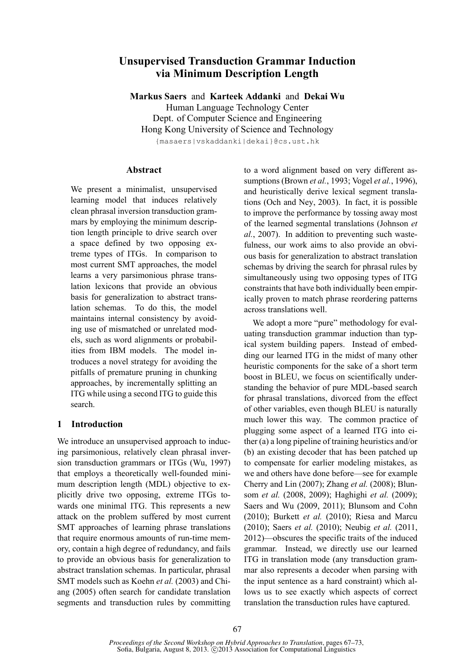# **Unsupervised Transduction Grammar Induction via Minimum Description Length**

**Markus Saers** and **Karteek Addanki** and **Dekai Wu** Human Language Technology Center Dept. of Computer Science and Engineering Hong Kong University of Science and Technology {masaers|vskaddanki|dekai}@cs.ust.hk

### **Abstract**

We present a minimalist, unsupervised learning model that induces relatively clean phrasal inversion transduction grammars by employing the minimum description length principle to drive search over a space defined by two opposing extreme types of ITGs. In comparison to most current SMT approaches, the model learns a very parsimonious phrase translation lexicons that provide an obvious basis for generalization to abstract translation schemas. To do this, the model maintains internal consistency by avoiding use of mismatched or unrelated models, such as word alignments or probabilities from IBM models. The model introduces a novel strategy for avoiding the pitfalls of premature pruning in chunking approaches, by incrementally splitting an ITG while using a second ITG to guide this search.

# **1 Introduction**

We introduce an unsupervised approach to inducing parsimonious, relatively clean phrasal inversion transduction grammars or ITGs (Wu, 1997) that employs a theoretically well-founded minimum description length (MDL) objective to explicitly drive two opposing, extreme ITGs towards one minimal ITG. This represents a new attack on the problem suffered by most current SMT approaches of learning phrase translations that require enormous amounts of run-time memory, contain a high degree of redundancy, and fails to provide an obvious basis for generalization to abstract translation schemas. In particular, phrasal SMT models such as Koehn *et al.* (2003) and Chiang (2005) often search for candidate translation segments and transduction rules by committing to a word alignment based on very different assumptions (Brown *et al.*, 1993; Vogel *et al.*, 1996), and heuristically derive lexical segment translations (Och and Ney, 2003). In fact, it is possible to improve the performance by tossing away most of the learned segmental translations (Johnson *et al.*, 2007). In addition to preventing such wastefulness, our work aims to also provide an obvious basis for generalization to abstract translation schemas by driving the search for phrasal rules by simultaneously using two opposing types of ITG constraints that have both individually been empirically proven to match phrase reordering patterns across translations well.

We adopt a more "pure" methodology for evaluating transduction grammar induction than typical system building papers. Instead of embedding our learned ITG in the midst of many other heuristic components for the sake of a short term boost in BLEU, we focus on scientifically understanding the behavior of pure MDL-based search for phrasal translations, divorced from the effect of other variables, even though BLEU is naturally much lower this way. The common practice of plugging some aspect of a learned ITG into either (a) a long pipeline of training heuristics and/or (b) an existing decoder that has been patched up to compensate for earlier modeling mistakes, as we and others have done before—see for example Cherry and Lin (2007); Zhang *et al.* (2008); Blunsom *et al.* (2008, 2009); Haghighi *et al.* (2009); Saers and Wu (2009, 2011); Blunsom and Cohn (2010); Burkett *et al.* (2010); Riesa and Marcu (2010); Saers *et al.* (2010); Neubig *et al.* (2011, 2012)—obscures the specific traits of the induced grammar. Instead, we directly use our learned ITG in translation mode (any transduction grammar also represents a decoder when parsing with the input sentence as a hard constraint) which allows us to see exactly which aspects of correct translation the transduction rules have captured.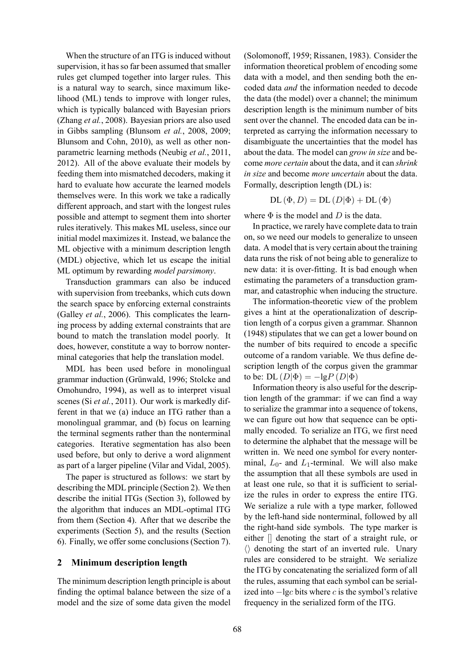When the structure of an ITG is induced without supervision, it has so far been assumed that smaller rules get clumped together into larger rules. This is a natural way to search, since maximum likelihood (ML) tends to improve with longer rules, which is typically balanced with Bayesian priors (Zhang *et al.*, 2008). Bayesian priors are also used in Gibbs sampling (Blunsom *et al.*, 2008, 2009; Blunsom and Cohn, 2010), as well as other nonparametric learning methods (Neubig *et al.*, 2011, 2012). All of the above evaluate their models by feeding them into mismatched decoders, making it hard to evaluate how accurate the learned models themselves were. In this work we take a radically different approach, and start with the longest rules possible and attempt to segment them into shorter rules iteratively. This makes ML useless, since our initial model maximizes it. Instead, we balance the ML objective with a minimum description length (MDL) objective, which let us escape the initial ML optimum by rewarding *model parsimony*.

Transduction grammars can also be induced with supervision from treebanks, which cuts down the search space by enforcing external constraints (Galley *et al.*, 2006). This complicates the learning process by adding external constraints that are bound to match the translation model poorly. It does, however, constitute a way to borrow nonterminal categories that help the translation model.

MDL has been used before in monolingual grammar induction (Grünwald, 1996; Stolcke and Omohundro, 1994), as well as to interpret visual scenes (Si *et al.*, 2011). Our work is markedly different in that we (a) induce an ITG rather than a monolingual grammar, and (b) focus on learning the terminal segments rather than the nonterminal categories. Iterative segmentation has also been used before, but only to derive a word alignment as part of a larger pipeline (Vilar and Vidal, 2005).

The paper is structured as follows: we start by describing the MDL principle (Section 2). We then describe the initial ITGs (Section 3), followed by the algorithm that induces an MDL-optimal ITG from them (Section 4). After that we describe the experiments (Section 5), and the results (Section 6). Finally, we offer some conclusions (Section 7).

#### **2 Minimum description length**

The minimum description length principle is about finding the optimal balance between the size of a model and the size of some data given the model

(Solomonoff, 1959; Rissanen, 1983). Consider the information theoretical problem of encoding some data with a model, and then sending both the encoded data *and* the information needed to decode the data (the model) over a channel; the minimum description length is the minimum number of bits sent over the channel. The encoded data can be interpreted as carrying the information necessary to disambiguate the uncertainties that the model has about the data. The model can *grow in size* and become *more certain* about the data, and it can *shrink in size* and become *more uncertain* about the data. Formally, description length (DL) is:

 $DL(\Phi, D) = DL(D|\Phi) + DL(\Phi)$ 

where  $\Phi$  is the model and  $D$  is the data.

In practice, we rarely have complete data to train on, so we need our models to generalize to unseen data. A model that is very certain about the training data runs the risk of not being able to generalize to new data: it is over-fitting. It is bad enough when estimating the parameters of a transduction grammar, and catastrophic when inducing the structure.

The information-theoretic view of the problem gives a hint at the operationalization of description length of a corpus given a grammar. Shannon (1948) stipulates that we can get a lower bound on the number of bits required to encode a specific outcome of a random variable. We thus define description length of the corpus given the grammar to be: DL  $(D|\Phi) = -\lg P(D|\Phi)$ 

Information theory is also useful for the description length of the grammar: if we can find a way to serialize the grammar into a sequence of tokens, we can figure out how that sequence can be optimally encoded. To serialize an ITG, we first need to determine the alphabet that the message will be written in. We need one symbol for every nonterminal,  $L_0$ - and  $L_1$ -terminal. We will also make the assumption that all these symbols are used in at least one rule, so that it is sufficient to serialize the rules in order to express the entire ITG. We serialize a rule with a type marker, followed by the left-hand side nonterminal, followed by all the right-hand side symbols. The type marker is either [] denoting the start of a straight rule, or *⟨⟩* denoting the start of an inverted rule. Unary rules are considered to be straight. We serialize the ITG by concatenating the serialized form of all the rules, assuming that each symbol can be serialized into *−*lg*c* bits where *c* is the symbol's relative frequency in the serialized form of the ITG.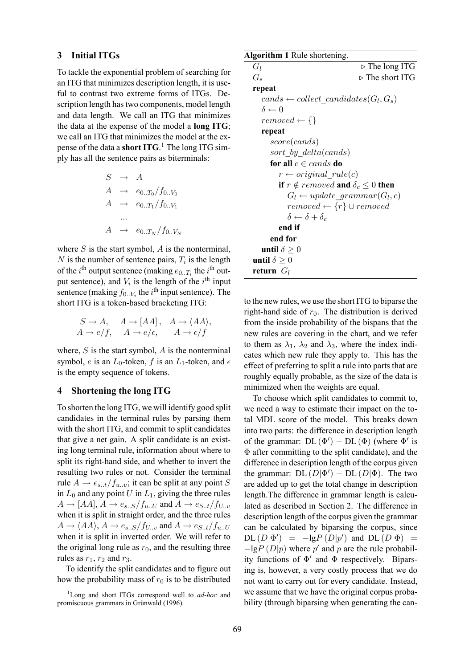#### **3 Initial ITGs**

To tackle the exponential problem of searching for an ITG that minimizes description length, it is useful to contrast two extreme forms of ITGs. Description length has two components, model length and data length. We call an ITG that minimizes the data at the expense of the model a **long ITG**; we call an ITG that minimizes the model at the expense of the data a **short ITG**. <sup>1</sup> The long ITG simply has all the sentence pairs as biterminals:

$$
S \rightarrow A
$$
  
\n
$$
A \rightarrow e_{0..T_0}/f_{0..V_0}
$$
  
\n
$$
A \rightarrow e_{0..T_1}/f_{0..V_1}
$$
  
\n...  
\n
$$
A \rightarrow e_{0..T_N}/f_{0..V_N}
$$

where *S* is the start symbol, *A* is the nonterminal, *N* is the number of sentence pairs,  $T_i$  is the length of the *i*<sup>th</sup> output sentence (making  $e_{0..T_i}$  the *i*<sup>th</sup> output sentence), and  $V_i$  is the length of the  $i^{\text{th}}$  input sentence (making  $f_{0..V_i}$  the  $i^{\text{th}}$  input sentence). The short ITG is a token-based bracketing ITG:

$$
S \to A, \quad A \to [AA], \quad A \to \langle AA \rangle,
$$
  

$$
A \to e/f, \quad A \to e/\epsilon, \quad A \to \epsilon/f
$$

where, *S* is the start symbol, *A* is the nonterminal symbol, *e* is an  $L_0$ -token, *f* is an  $L_1$ -token, and  $\epsilon$ is the empty sequence of tokens.

#### **4 Shortening the long ITG**

To shorten the long ITG, we will identify good split candidates in the terminal rules by parsing them with the short ITG, and commit to split candidates that give a net gain. A split candidate is an existing long terminal rule, information about where to split its right-hand side, and whether to invert the resulting two rules or not. Consider the terminal rule  $A \rightarrow e_{s..t}/f_{u..v}$ ; it can be split at any point *S* in  $L_0$  and any point  $U$  in  $L_1$ , giving the three rules  $A \rightarrow [AA], A \rightarrow e_{s..S}/f_{u..U}$  and  $A \rightarrow e_{S..t}/f_{U..v}$ when it is split in straight order, and the three rules  $A \rightarrow \langle AA \rangle$ ,  $A \rightarrow e_{s..S}/f_{U..v}$  and  $A \rightarrow e_{S..t}/f_{u..U}$ when it is split in inverted order. We will refer to the original long rule as  $r_0$ , and the resulting three rules as  $r_1$ ,  $r_2$  and  $r_3$ .

To identify the split candidates and to figure out how the probability mass of  $r_0$  is to be distributed

#### **Algorithm 1** Rule shortening.

```
Gl ▷ The long ITG
Gs ▷ The short ITG
repeat
  cands \leftarrow collect\_candidates(G_l, G_s)δ ← 0
  re moved \leftarrow \{\}repeat
     score(cands)
    sort_by_delta(cands)
    for all c \in cands do
       r \leftarrow originalrule(c)
       if r \notin removed and \delta_c \leq 0 then
          G_l \leftarrow update\_grammar(G_l, c)removed ← {r} ∪ removed
         δ ← δ + δ<sup>c</sup>
       end if
    end for
  until \delta > 0
until \delta > 0
return Gl
```
to the new rules, we use the short ITG to biparse the right-hand side of  $r_0$ . The distribution is derived from the inside probability of the bispans that the new rules are covering in the chart, and we refer to them as  $\lambda_1$ ,  $\lambda_2$  and  $\lambda_3$ , where the index indicates which new rule they apply to. This has the effect of preferring to split a rule into parts that are roughly equally probable, as the size of the data is minimized when the weights are equal.

To choose which split candidates to commit to, we need a way to estimate their impact on the total MDL score of the model. This breaks down into two parts: the difference in description length of the grammar:  $DL(\Phi') - DL(\Phi)$  (where  $\Phi'$  is Φ after committing to the split candidate), and the difference in description length of the corpus given the grammar:  $DL (D|\Phi') - DL (D|\Phi)$ . The two are added up to get the total change in description length.The difference in grammar length is calculated as described in Section 2. The difference in description length of the corpus given the grammar can be calculated by biparsing the corpus, since  $DL (D|\Phi')$  =  $-lgP (D|p')$  and  $DL (D|\Phi)$  = *−*lg*P* (*D|p*) where *p ′* and *p* are the rule probability functions of Φ *′* and Φ respectively. Biparsing is, however, a very costly process that we do not want to carry out for every candidate. Instead, we assume that we have the original corpus probability (through biparsing when generating the can-

<sup>1</sup>Long and short ITGs correspond well to *ad-hoc* and promiscuous grammars in Grünwald (1996).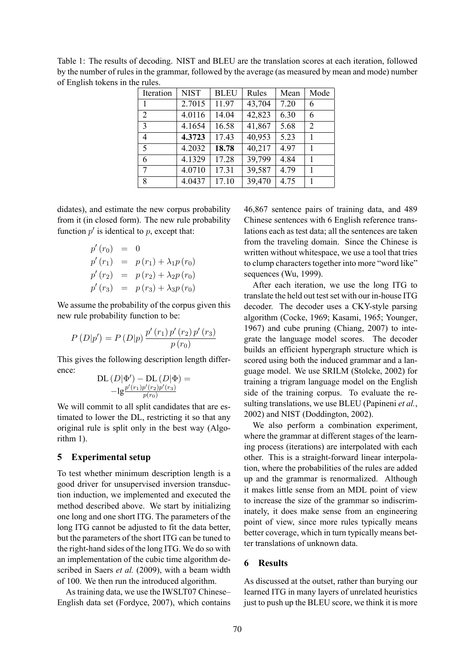Table 1: The results of decoding. NIST and BLEU are the translation scores at each iteration, followed by the number of rules in the grammar, followed by the average (as measured by mean and mode) number of English tokens in the rules.

| Iteration      | <b>NIST</b> | <b>BLEU</b> | Rules               | Mean | Mode           |
|----------------|-------------|-------------|---------------------|------|----------------|
|                | 2.7015      | 11.97       | 43,704              | 7.20 | 6              |
| $\overline{2}$ | 4.0116      | 14.04       | 42,823              | 6.30 | 6              |
| $\overline{3}$ | 4.1654      | 16.58       | 41,867              | 5.68 | $\overline{2}$ |
| 4              | 4.3723      | 17.43       | 40,953              | 5.23 |                |
| 5              | 4.2032      | 18.78       | $\overline{40,217}$ | 4.97 | 1              |
| 6              | 4.1329      | 17.28       | 39,799              | 4.84 |                |
| $\tau$         | 4.0710      | 17.31       | 39,587              | 4.79 | 1              |
| 8              | 4.0437      | 17.10       | 39,470              | 4.75 |                |

didates), and estimate the new corpus probability from it (in closed form). The new rule probability function  $p'$  is identical to  $p$ , except that:

$$
p'(r_0) = 0p'(r_1) = p(r_1) + \lambda_1 p(r_0)p'(r_2) = p(r_2) + \lambda_2 p(r_0)p'(r_3) = p(r_3) + \lambda_3 p(r_0)
$$

We assume the probability of the corpus given this new rule probability function to be:

$$
P (D|p') = P (D|p) \frac{p' (r_1) p' (r_2) p' (r_3)}{p (r_0)}
$$

This gives the following description length difference:

DL 
$$
(D|\Phi')
$$
 – DL  $(D|\Phi)$  =  
-lg<sup>*p'*(r<sub>1</sub>)*p'*(r<sub>2</sub>)*p'*(r<sub>3</sub>)  
*p*(r<sub>0</sub>)</sup>

We will commit to all split candidates that are estimated to lower the DL, restricting it so that any original rule is split only in the best way (Algorithm 1).

#### **5 Experimental setup**

To test whether minimum description length is a good driver for unsupervised inversion transduction induction, we implemented and executed the method described above. We start by initializing one long and one short ITG. The parameters of the long ITG cannot be adjusted to fit the data better, but the parameters of the short ITG can be tuned to the right-hand sides of the long ITG. We do so with an implementation of the cubic time algorithm described in Saers *et al.* (2009), with a beam width of 100. We then run the introduced algorithm.

As training data, we use the IWSLT07 Chinese– English data set (Fordyce, 2007), which contains

46,867 sentence pairs of training data, and 489 Chinese sentences with 6 English reference translations each as test data; all the sentences are taken from the traveling domain. Since the Chinese is written without whitespace, we use a tool that tries to clump characters together into more "word like" sequences (Wu, 1999).

After each iteration, we use the long ITG to translate the held out test set with our in-house ITG decoder. The decoder uses a CKY-style parsing algorithm (Cocke, 1969; Kasami, 1965; Younger, 1967) and cube pruning (Chiang, 2007) to integrate the language model scores. The decoder builds an efficient hypergraph structure which is scored using both the induced grammar and a language model. We use SRILM (Stolcke, 2002) for training a trigram language model on the English side of the training corpus. To evaluate the resulting translations, we use BLEU (Papineni *et al.*, 2002) and NIST (Doddington, 2002).

We also perform a combination experiment, where the grammar at different stages of the learning process (iterations) are interpolated with each other. This is a straight-forward linear interpolation, where the probabilities of the rules are added up and the grammar is renormalized. Although it makes little sense from an MDL point of view to increase the size of the grammar so indiscriminately, it does make sense from an engineering point of view, since more rules typically means better coverage, which in turn typically means better translations of unknown data.

#### **6 Results**

As discussed at the outset, rather than burying our learned ITG in many layers of unrelated heuristics just to push up the BLEU score, we think it is more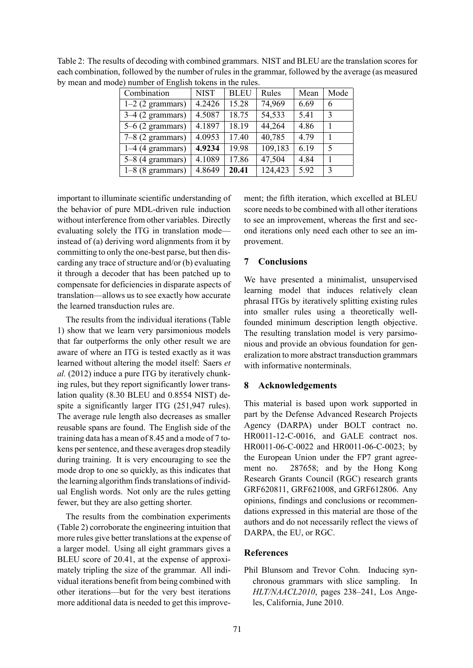| $\alpha$ ) humoor of Enghan tokens in the rules. |             |             |         |      |      |  |  |  |  |
|--------------------------------------------------|-------------|-------------|---------|------|------|--|--|--|--|
| Combination                                      | <b>NIST</b> | <b>BLEU</b> | Rules   | Mean | Mode |  |  |  |  |
| $1-2$ (2 grammars)                               | 4.2426      | 15.28       | 74,969  | 6.69 | 6    |  |  |  |  |
| $3-4$ (2 grammars)                               | 4.5087      | 18.75       | 54,533  | 5.41 | 3    |  |  |  |  |
| $5-6$ (2 grammars)                               | 4.1897      | 18.19       | 44,264  | 4.86 |      |  |  |  |  |
| $7-8$ (2 grammars)                               | 4.0953      | 17.40       | 40,785  | 4.79 |      |  |  |  |  |
| $1-4$ (4 grammars)                               | 4.9234      | 19.98       | 109,183 | 6.19 | 5    |  |  |  |  |
| $5-8$ (4 grammars)                               | 4.1089      | 17.86       | 47,504  | 4.84 |      |  |  |  |  |
| $1-8$ (8 grammars)                               | 4.8649      | 20.41       | 124,423 | 5.92 | 3    |  |  |  |  |

Table 2: The results of decoding with combined grammars. NIST and BLEU are the translation scores for each combination, followed by the number of rules in the grammar, followed by the average (as measured by mean and mode) number of English tokens in the rules.

important to illuminate scientific understanding of the behavior of pure MDL-driven rule induction without interference from other variables. Directly evaluating solely the ITG in translation mode instead of (a) deriving word alignments from it by committing to only the one-best parse, but then discarding any trace of structure and/or (b) evaluating it through a decoder that has been patched up to compensate for deficiencies in disparate aspects of translation—allows us to see exactly how accurate the learned transduction rules are.

The results from the individual iterations (Table 1) show that we learn very parsimonious models that far outperforms the only other result we are aware of where an ITG is tested exactly as it was learned without altering the model itself: Saers *et al.* (2012) induce a pure ITG by iteratively chunking rules, but they report significantly lower translation quality (8.30 BLEU and 0.8554 NIST) despite a significantly larger ITG (251,947 rules). The average rule length also decreases as smaller reusable spans are found. The English side of the training data has a mean of 8.45 and a mode of 7 tokens per sentence, and these averages drop steadily during training. It is very encouraging to see the mode drop to one so quickly, as this indicates that the learning algorithm finds translations of individual English words. Not only are the rules getting fewer, but they are also getting shorter.

The results from the combination experiments (Table 2) corroborate the engineering intuition that more rules give better translations at the expense of a larger model. Using all eight grammars gives a BLEU score of 20.41, at the expense of approximately tripling the size of the grammar. All individual iterations benefit from being combined with other iterations—but for the very best iterations more additional data is needed to get this improve-

ment; the fifth iteration, which excelled at BLEU score needs to be combined with all other iterations to see an improvement, whereas the first and second iterations only need each other to see an improvement.

## **7 Conclusions**

We have presented a minimalist, unsupervised learning model that induces relatively clean phrasal ITGs by iteratively splitting existing rules into smaller rules using a theoretically wellfounded minimum description length objective. The resulting translation model is very parsimonious and provide an obvious foundation for generalization to more abstract transduction grammars with informative nonterminals.

## **8 Acknowledgements**

This material is based upon work supported in part by the Defense Advanced Research Projects Agency (DARPA) under BOLT contract no. HR0011-12-C-0016, and GALE contract nos. HR0011-06-C-0022 and HR0011-06-C-0023; by the European Union under the FP7 grant agreement no. 287658; and by the Hong Kong Research Grants Council (RGC) research grants GRF620811, GRF621008, and GRF612806. Any opinions, findings and conclusions or recommendations expressed in this material are those of the authors and do not necessarily reflect the views of DARPA, the EU, or RGC.

### **References**

Phil Blunsom and Trevor Cohn. Inducing synchronous grammars with slice sampling. In *HLT/NAACL2010*, pages 238–241, Los Angeles, California, June 2010.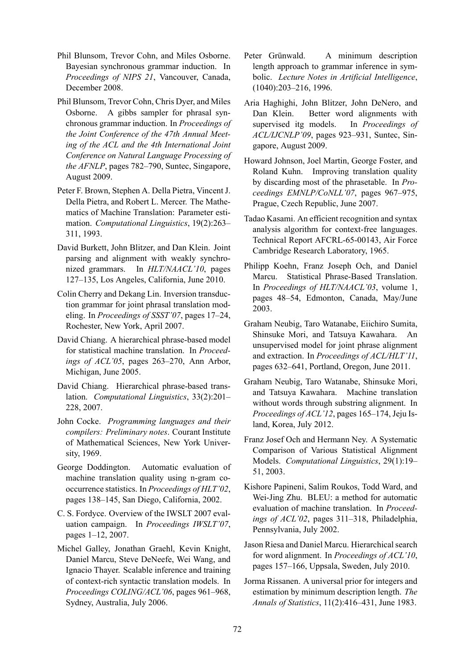- Phil Blunsom, Trevor Cohn, and Miles Osborne. Bayesian synchronous grammar induction. In *Proceedings of NIPS 21*, Vancouver, Canada, December 2008.
- Phil Blunsom, Trevor Cohn, Chris Dyer, and Miles Osborne. A gibbs sampler for phrasal synchronous grammar induction. In *Proceedings of the Joint Conference of the 47th Annual Meeting of the ACL and the 4th International Joint Conference on Natural Language Processing of the AFNLP*, pages 782–790, Suntec, Singapore, August 2009.
- Peter F. Brown, Stephen A. Della Pietra, Vincent J. Della Pietra, and Robert L. Mercer. The Mathematics of Machine Translation: Parameter estimation. *Computational Linguistics*, 19(2):263– 311, 1993.
- David Burkett, John Blitzer, and Dan Klein. Joint parsing and alignment with weakly synchronized grammars. In *HLT/NAACL'10*, pages 127–135, Los Angeles, California, June 2010.
- Colin Cherry and Dekang Lin. Inversion transduction grammar for joint phrasal translation modeling. In *Proceedings of SSST'07*, pages 17–24, Rochester, New York, April 2007.
- David Chiang. A hierarchical phrase-based model for statistical machine translation. In *Proceedings of ACL'05*, pages 263–270, Ann Arbor, Michigan, June 2005.
- David Chiang. Hierarchical phrase-based translation. *Computational Linguistics*, 33(2):201– 228, 2007.
- John Cocke. *Programming languages and their compilers: Preliminary notes*. Courant Institute of Mathematical Sciences, New York University, 1969.
- George Doddington. Automatic evaluation of machine translation quality using n-gram cooccurrence statistics. In *Proceedings of HLT'02*, pages 138–145, San Diego, California, 2002.
- C. S. Fordyce. Overview of the IWSLT 2007 evaluation campaign. In *Proceedings IWSLT'07*, pages 1–12, 2007.
- Michel Galley, Jonathan Graehl, Kevin Knight, Daniel Marcu, Steve DeNeefe, Wei Wang, and Ignacio Thayer. Scalable inference and training of context-rich syntactic translation models. In *Proceedings COLING/ACL'06*, pages 961–968, Sydney, Australia, July 2006.
- Peter Grünwald. A minimum description length approach to grammar inference in symbolic. *Lecture Notes in Artificial Intelligence*, (1040):203–216, 1996.
- Aria Haghighi, John Blitzer, John DeNero, and Dan Klein. Better word alignments with supervised itg models. In *Proceedings of ACL/IJCNLP'09*, pages 923–931, Suntec, Singapore, August 2009.
- Howard Johnson, Joel Martin, George Foster, and Roland Kuhn. Improving translation quality by discarding most of the phrasetable. In *Proceedings EMNLP/CoNLL'07*, pages 967–975, Prague, Czech Republic, June 2007.
- Tadao Kasami. An efficient recognition and syntax analysis algorithm for context-free languages. Technical Report AFCRL-65-00143, Air Force Cambridge Research Laboratory, 1965.
- Philipp Koehn, Franz Joseph Och, and Daniel Marcu. Statistical Phrase-Based Translation. In *Proceedings of HLT/NAACL'03*, volume 1, pages 48–54, Edmonton, Canada, May/June 2003.
- Graham Neubig, Taro Watanabe, Eiichiro Sumita, Shinsuke Mori, and Tatsuya Kawahara. An unsupervised model for joint phrase alignment and extraction. In *Proceedings of ACL/HLT'11*, pages 632–641, Portland, Oregon, June 2011.
- Graham Neubig, Taro Watanabe, Shinsuke Mori, and Tatsuya Kawahara. Machine translation without words through substring alignment. In *Proceedings of ACL'12*, pages 165–174, Jeju Island, Korea, July 2012.
- Franz Josef Och and Hermann Ney. A Systematic Comparison of Various Statistical Alignment Models. *Computational Linguistics*, 29(1):19– 51, 2003.
- Kishore Papineni, Salim Roukos, Todd Ward, and Wei-Jing Zhu. BLEU: a method for automatic evaluation of machine translation. In *Proceedings of ACL'02*, pages 311–318, Philadelphia, Pennsylvania, July 2002.
- Jason Riesa and Daniel Marcu. Hierarchical search for word alignment. In *Proceedings of ACL'10*, pages 157–166, Uppsala, Sweden, July 2010.
- Jorma Rissanen. A universal prior for integers and estimation by minimum description length. *The Annals of Statistics*, 11(2):416–431, June 1983.